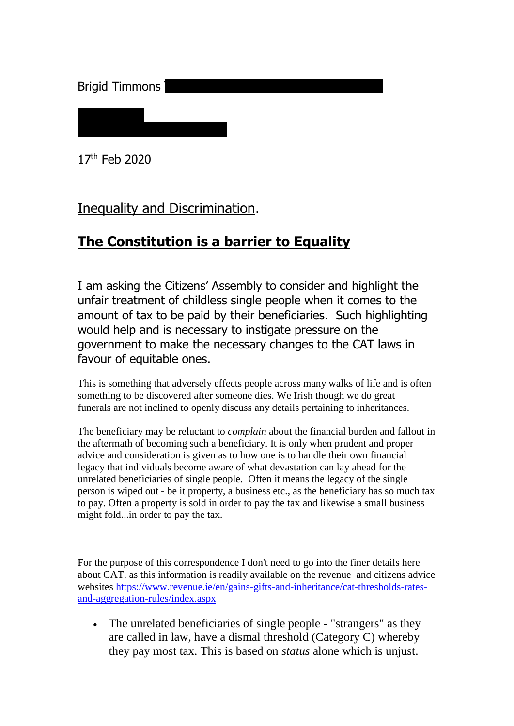Brigid Timmons

17th Feb 2020

#### Inequality and Discrimination.

## **The Constitution is a barrier to Equality**

I am asking the Citizens' Assembly to consider and highlight the unfair treatment of childless single people when it comes to the amount of tax to be paid by their beneficiaries. Such highlighting would help and is necessary to instigate pressure on the government to make the necessary changes to the CAT laws in favour of equitable ones.

This is something that adversely effects people across many walks of life and is often something to be discovered after someone dies. We Irish though we do great funerals are not inclined to openly discuss any details pertaining to inheritances.

The beneficiary may be reluctant to *complain* about the financial burden and fallout in the aftermath of becoming such a beneficiary. It is only when prudent and proper advice and consideration is given as to how one is to handle their own financial legacy that individuals become aware of what devastation can lay ahead for the unrelated beneficiaries of single people. Often it means the legacy of the single person is wiped out - be it property, a business etc., as the beneficiary has so much tax to pay. Often a property is sold in order to pay the tax and likewise a small business might fold...in order to pay the tax.

For the purpose of this correspondence I don't need to go into the finer details here about CAT. as this information is readily available on the revenue and citizens advice websites [https://www.revenue.ie/en/gains-gifts-and-inheritance/cat-thresholds-rates](https://www.revenue.ie/en/gains-gifts-and-inheritance/cat-thresholds-rates-and-aggregation-rules/index.aspx)[and-aggregation-rules/index.aspx](https://www.revenue.ie/en/gains-gifts-and-inheritance/cat-thresholds-rates-and-aggregation-rules/index.aspx)

 The unrelated beneficiaries of single people - "strangers" as they are called in law, have a dismal threshold (Category C) whereby they pay most tax. This is based on *status* alone which is unjust.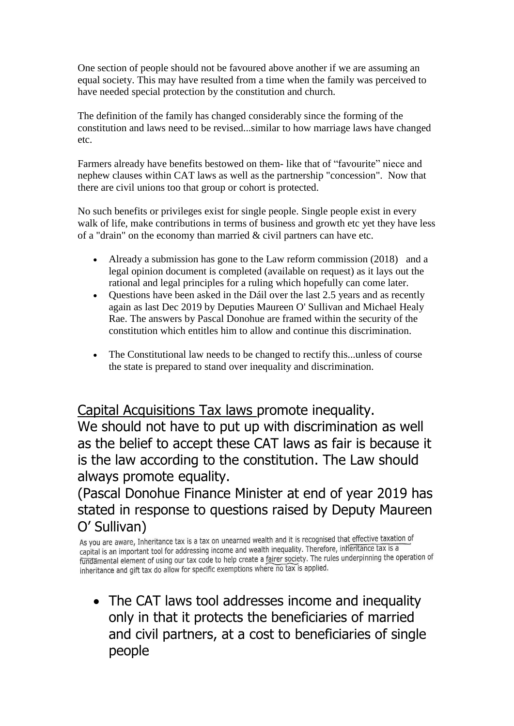One section of people should not be favoured above another if we are assuming an equal society. This may have resulted from a time when the family was perceived to have needed special protection by the constitution and church.

The definition of the family has changed considerably since the forming of the constitution and laws need to be revised...similar to how marriage laws have changed etc.

Farmers already have benefits bestowed on them- like that of "favourite" niece and nephew clauses within CAT laws as well as the partnership "concession". Now that there are civil unions too that group or cohort is protected.

No such benefits or privileges exist for single people. Single people exist in every walk of life, make contributions in terms of business and growth etc yet they have less of a "drain" on the economy than married  $&$  civil partners can have etc.

- Already a submission has gone to the Law reform commission (2018) and a legal opinion document is completed (available on request) as it lays out the rational and legal principles for a ruling which hopefully can come later.
- Questions have been asked in the Dáil over the last 2.5 years and as recently again as last Dec 2019 by Deputies Maureen O' Sullivan and Michael Healy Rae. The answers by Pascal Donohue are framed within the security of the constitution which entitles him to allow and continue this discrimination.
- The Constitutional law needs to be changed to rectify this...unless of course the state is prepared to stand over inequality and discrimination.

Capital Acquisitions Tax laws promote inequality. We should not have to put up with discrimination as well as the belief to accept these CAT laws as fair is because it is the law according to the constitution. The Law should always promote equality.

(Pascal Donohue Finance Minister at end of year 2019 has stated in response to questions raised by Deputy Maureen O' Sullivan)<br>As you are aware, Inheritance tax is a tax on unearned wealth and it is recognised that effective taxation of

capital is an important tool for addressing income and wealth inequality. Therefore, inferitance tax is a rapital is an important tool for addressing income and wealth inequality. The rules underpinning the operation of<br>fundamental element of using our tax code to help create a fairer society. The rules underpinning the operat inheritance and gift tax do allow for specific exemptions where no tax is applied.

• The CAT laws tool addresses income and inequality only in that it protects the beneficiaries of married and civil partners, at a cost to beneficiaries of single people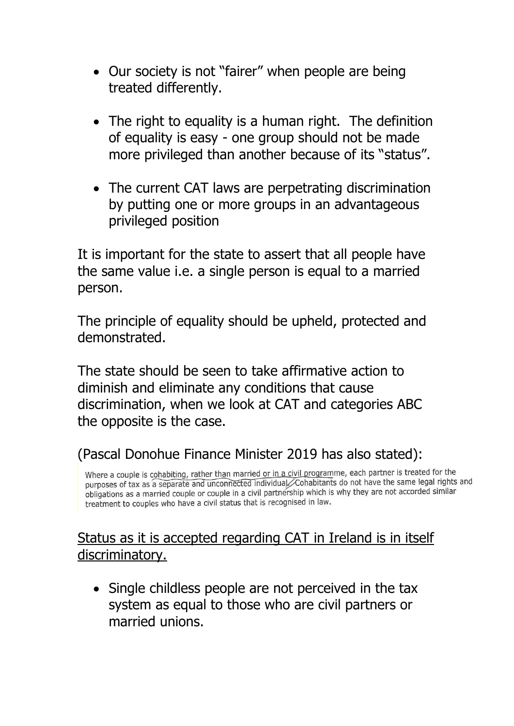- Our society is not "fairer" when people are being treated differently.
- The right to equality is a human right. The definition of equality is easy - one group should not be made more privileged than another because of its "status".
- The current CAT laws are perpetrating discrimination by putting one or more groups in an advantageous privileged position

It is important for the state to assert that all people have the same value i.e. a single person is equal to a married person.

The principle of equality should be upheld, protected and demonstrated.

The state should be seen to take affirmative action to diminish and eliminate any conditions that cause discrimination, when we look at CAT and categories ABC the opposite is the case.

## (Pascal Donohue Finance Minister 2019 has also stated):

Where a couple is cohabiting, rather than married or in a civil programme, each partner is treated for the purposes of tax as a separate and unconnected individual. Cohabitants do not have the same legal rights and obligations as a married couple or couple in a civil partnership which is why they are not accorded similar treatment to couples who have a civil status that is recognised in law.

## Status as it is accepted regarding CAT in Ireland is in itself discriminatory.

• Single childless people are not perceived in the tax system as equal to those who are civil partners or married unions.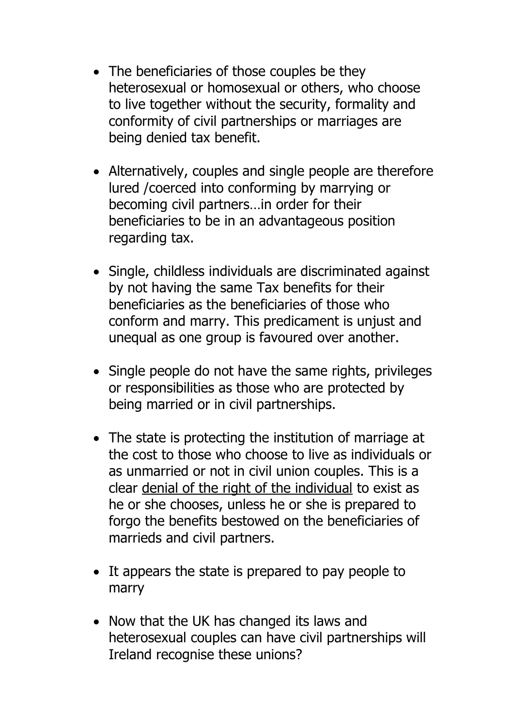- The beneficiaries of those couples be they heterosexual or homosexual or others, who choose to live together without the security, formality and conformity of civil partnerships or marriages are being denied tax benefit.
- Alternatively, couples and single people are therefore lured /coerced into conforming by marrying or becoming civil partners…in order for their beneficiaries to be in an advantageous position regarding tax.
- Single, childless individuals are discriminated against by not having the same Tax benefits for their beneficiaries as the beneficiaries of those who conform and marry. This predicament is unjust and unequal as one group is favoured over another.
- Single people do not have the same rights, privileges or responsibilities as those who are protected by being married or in civil partnerships.
- The state is protecting the institution of marriage at the cost to those who choose to live as individuals or as unmarried or not in civil union couples. This is a clear denial of the right of the individual to exist as he or she chooses, unless he or she is prepared to forgo the benefits bestowed on the beneficiaries of marrieds and civil partners.
- It appears the state is prepared to pay people to marry
- Now that the UK has changed its laws and heterosexual couples can have civil partnerships will Ireland recognise these unions?